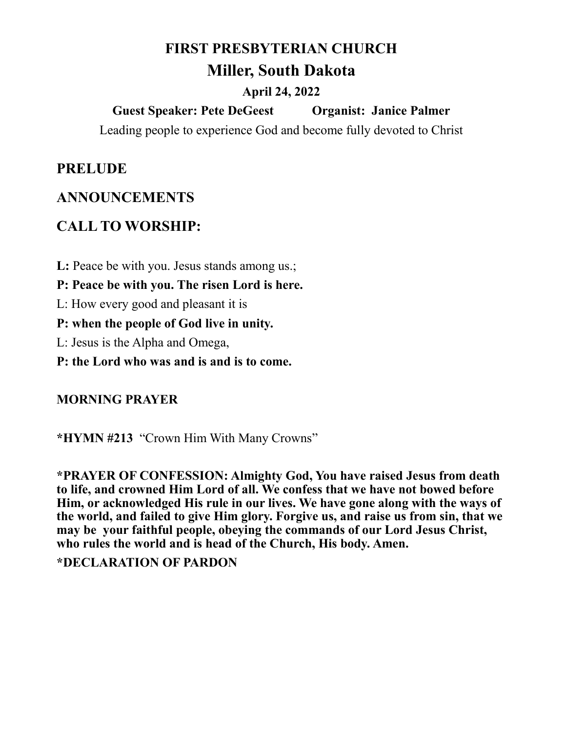## **FIRST PRESBYTERIAN CHURCH**

# **Miller, South Dakota**

### **April 24, 2022**

**Guest Speaker: Pete DeGeest Organist: Janice Palmer**

Leading people to experience God and become fully devoted to Christ

### **PRELUDE**

## **ANNOUNCEMENTS**

# **CALL TO WORSHIP:**

L: Peace be with you. Jesus stands among us.;

**P: Peace be with you. The risen Lord is here.**

L: How every good and pleasant it is

**P: when the people of God live in unity.**

L: Jesus is the Alpha and Omega,

**P: the Lord who was and is and is to come.**

#### **MORNING PRAYER**

**\*HYMN #213** "Crown Him With Many Crowns"

**\*PRAYER OF CONFESSION: Almighty God, You have raised Jesus from death to life, and crowned Him Lord of all. We confess that we have not bowed before Him, or acknowledged His rule in our lives. We have gone along with the ways of the world, and failed to give Him glory. Forgive us, and raise us from sin, that we may be your faithful people, obeying the commands of our Lord Jesus Christ, who rules the world and is head of the Church, His body. Amen.**

**\*DECLARATION OF PARDON**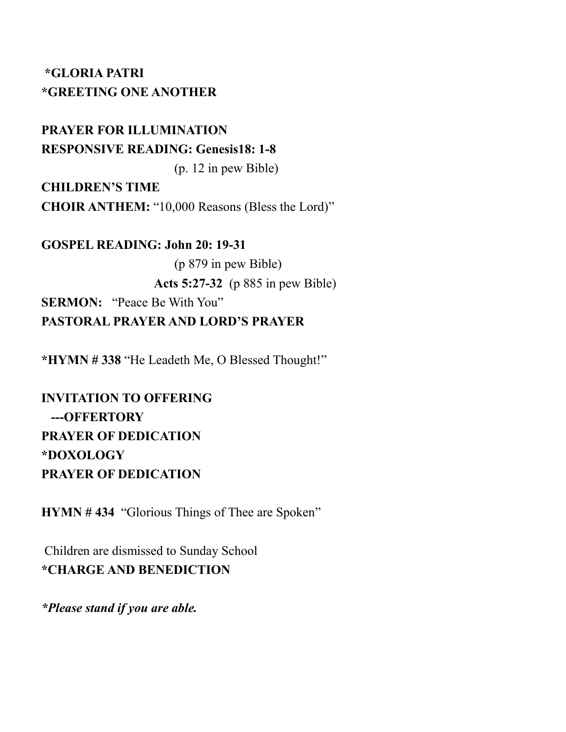### **\*GLORIA PATRI \*GREETING ONE ANOTHER**

**PRAYER FOR ILLUMINATION RESPONSIVE READING: Genesis18: 1-8** (p. 12 in pew Bible)

**CHILDREN'S TIME CHOIR ANTHEM:** "10,000 Reasons (Bless the Lord)"

**GOSPEL READING: John 20: 19-31** (p 879 in pew Bible) **Acts 5:27-32** (p 885 in pew Bible) **SERMON:** "Peace Be With You" **PASTORAL PRAYER AND LORD'S PRAYER**

**\*HYMN # 338** "He Leadeth Me, O Blessed Thought!"

**INVITATION TO OFFERING ---OFFERTORY PRAYER OF DEDICATION \*DOXOLOGY PRAYER OF DEDICATION**

**HYMN # 434** "Glorious Things of Thee are Spoken"

Children are dismissed to Sunday School **\*CHARGE AND BENEDICTION** 

*\*Please stand if you are able.*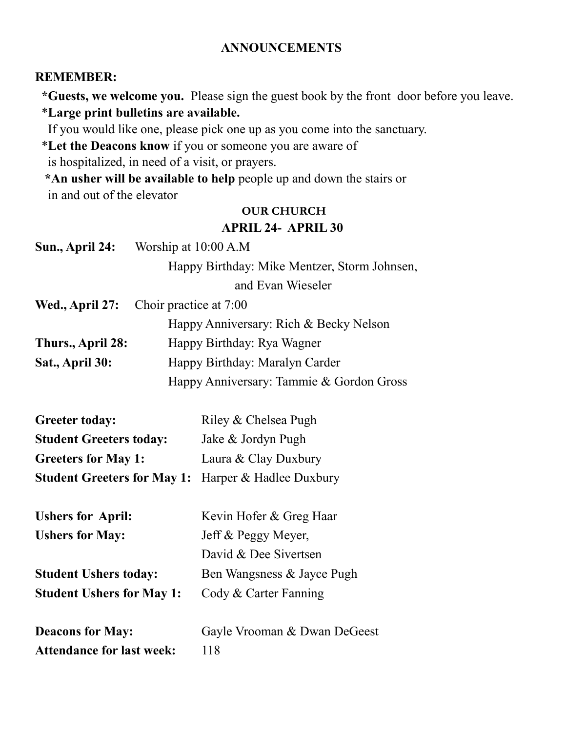#### **ANNOUNCEMENTS**

#### **REMEMBER:**

 **\*Guests, we welcome you.** Please sign the guest book by the front door before you leave. \***Large print bulletins are available.** 

If you would like one, please pick one up as you come into the sanctuary.

\***Let the Deacons know** if you or someone you are aware of

is hospitalized, in need of a visit, or prayers.

 **\*An usher will be available to help** people up and down the stairs or in and out of the elevator

### **OUR CHURCH APRIL 24- APRIL 30**

| Sun., April 24:   | Worship at 10:00 A.M                         |
|-------------------|----------------------------------------------|
|                   | Happy Birthday: Mike Mentzer, Storm Johnsen, |
|                   | and Evan Wieseler                            |
|                   | Wed., April 27: Choir practice at 7:00       |
|                   | Happy Anniversary: Rich & Becky Nelson       |
| Thurs., April 28: | Happy Birthday: Rya Wagner                   |
| Sat., April 30:   | Happy Birthday: Maralyn Carder               |
|                   | Happy Anniversary: Tammie & Gordon Gross     |

| <b>Greeter today:</b>                                      | Riley & Chelsea Pugh |
|------------------------------------------------------------|----------------------|
| <b>Student Greeters today:</b>                             | Jake & Jordyn Pugh   |
| <b>Greeters for May 1:</b>                                 | Laura & Clay Duxbury |
| <b>Student Greeters for May 1:</b> Harper & Hadlee Duxbury |                      |

| <b>Ushers for April:</b>         | Kevin Hofer & Greg Haar      |
|----------------------------------|------------------------------|
| <b>Ushers for May:</b>           | Jeff & Peggy Meyer,          |
|                                  | David & Dee Sivertsen        |
| <b>Student Ushers today:</b>     | Ben Wangsness & Jayce Pugh   |
| <b>Student Ushers for May 1:</b> | Cody & Carter Fanning        |
| <b>Deacons for May:</b>          | Gayle Vrooman & Dwan DeGeest |

Attendance for last week: 118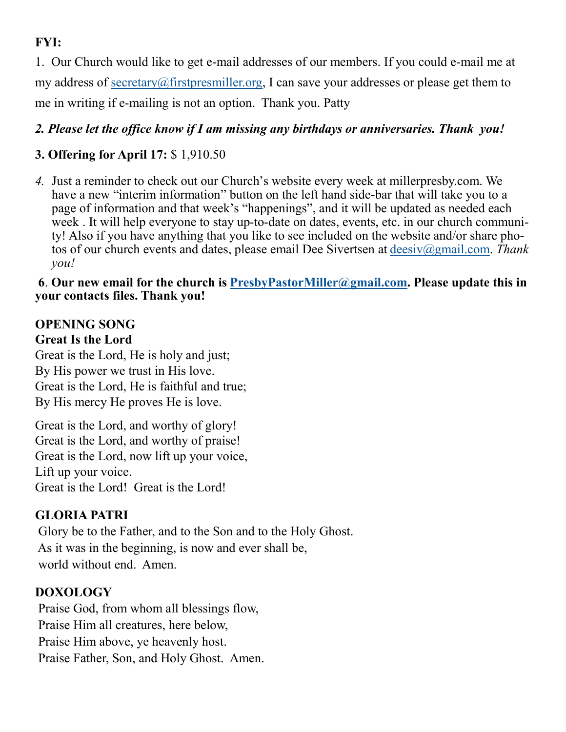# **FYI:**

1. Our Church would like to get e-mail addresses of our members. If you could e-mail me at my address of [secretary@firstpresmiller.org,](mailto:secretary@firstpresmiller.org) I can save your addresses or please get them to me in writing if e-mailing is not an option. Thank you. Patty

### *2. Please let the office know if I am missing any birthdays or anniversaries. Thank you!*

## **3. Offering for April 17:** \$ 1,910.50

*4.* Just a reminder to check out our Church's website every week at millerpresby.com. We have a new "interim information" button on the left hand side-bar that will take you to a page of information and that week's "happenings", and it will be updated as needed each week . It will help everyone to stay up-to-date on dates, events, etc. in our church community! Also if you have anything that you like to see included on the website and/or share photos of our church events and dates, please email Dee Sivertsen at [deesiv@gmail.com.](mailto:deesiv@gmail.com) *Thank you!*

#### **6**. **Our new email for the church is [PresbyPastorMiller@gmail.com.](mailto:PresbyPastorMiller@gmail.com) Please update this in your contacts files. Thank you!**

### **OPENING SONG Great Is the Lord**

Great is the Lord, He is holy and just; By His power we trust in His love. Great is the Lord, He is faithful and true; By His mercy He proves He is love.

Great is the Lord, and worthy of glory! Great is the Lord, and worthy of praise! Great is the Lord, now lift up your voice, Lift up your voice. Great is the Lord! Great is the Lord!

### **GLORIA PATRI**

Glory be to the Father, and to the Son and to the Holy Ghost. As it was in the beginning, is now and ever shall be, world without end. Amen.

### **DOXOLOGY**

Praise God, from whom all blessings flow, Praise Him all creatures, here below, Praise Him above, ye heavenly host. Praise Father, Son, and Holy Ghost. Amen.